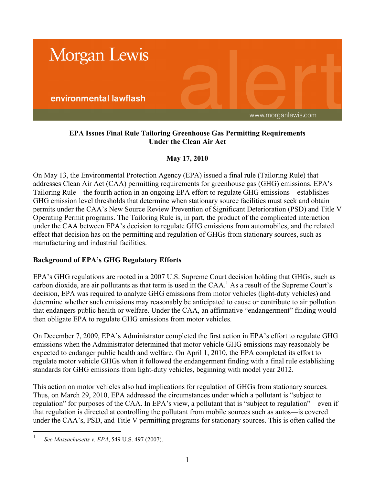

## **EPA Issues Final Rule Tailoring Greenhouse Gas Permitting Requirements Under the Clean Air Act**

# **May 17, 2010**

On May 13, the Environmental Protection Agency (EPA) issued a final rule (Tailoring Rule) that addresses Clean Air Act (CAA) permitting requirements for greenhouse gas (GHG) emissions. EPA's Tailoring Rule—the fourth action in an ongoing EPA effort to regulate GHG emissions—establishes GHG emission level thresholds that determine when stationary source facilities must seek and obtain permits under the CAA's New Source Review Prevention of Significant Deterioration (PSD) and Title V Operating Permit programs. The Tailoring Rule is, in part, the product of the complicated interaction under the CAA between EPA's decision to regulate GHG emissions from automobiles, and the related effect that decision has on the permitting and regulation of GHGs from stationary sources, such as manufacturing and industrial facilities.

## **Background of EPA's GHG Regulatory Efforts**

EPA's GHG regulations are rooted in a 2007 U.S. Supreme Court decision holding that GHGs, such as carbon dioxide, are air pollutants as that term is used in the  $CAA$ .<sup>1</sup> As a result of the Supreme Court's decision, EPA was required to analyze GHG emissions from motor vehicles (light-duty vehicles) and determine whether such emissions may reasonably be anticipated to cause or contribute to air pollution that endangers public health or welfare. Under the CAA, an affirmative "endangerment" finding would then obligate EPA to regulate GHG emissions from motor vehicles.

On December 7, 2009, EPA's Administrator completed the first action in EPA's effort to regulate GHG emissions when the Administrator determined that motor vehicle GHG emissions may reasonably be expected to endanger public health and welfare. On April 1, 2010, the EPA completed its effort to regulate motor vehicle GHGs when it followed the endangerment finding with a final rule establishing standards for GHG emissions from light-duty vehicles, beginning with model year 2012.

This action on motor vehicles also had implications for regulation of GHGs from stationary sources. Thus, on March 29, 2010, EPA addressed the circumstances under which a pollutant is "subject to regulation" for purposes of the CAA. In EPA's view, a pollutant that is "subject to regulation"—even if that regulation is directed at controlling the pollutant from mobile sources such as autos—is covered under the CAA's, PSD, and Title V permitting programs for stationary sources. This is often called the

 $\overline{a}$ 

<sup>1</sup> *See Massachusetts v. EPA*, 549 U.S. 497 (2007).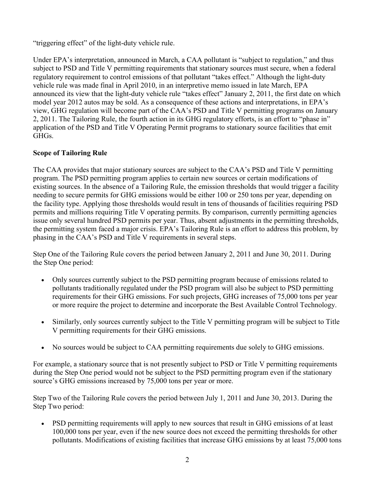"triggering effect" of the light-duty vehicle rule.

Under EPA's interpretation, announced in March, a CAA pollutant is "subject to regulation," and thus subject to PSD and Title V permitting requirements that stationary sources must secure, when a federal regulatory requirement to control emissions of that pollutant "takes effect." Although the light-duty vehicle rule was made final in April 2010, in an interpretive memo issued in late March, EPA announced its view that the light-duty vehicle rule "takes effect" January 2, 2011, the first date on which model year 2012 autos may be sold. As a consequence of these actions and interpretations, in EPA's view, GHG regulation will become part of the CAA's PSD and Title V permitting programs on January 2, 2011. The Tailoring Rule, the fourth action in its GHG regulatory efforts, is an effort to "phase in" application of the PSD and Title V Operating Permit programs to stationary source facilities that emit GHGs.

## **Scope of Tailoring Rule**

The CAA provides that major stationary sources are subject to the CAA's PSD and Title V permitting program. The PSD permitting program applies to certain new sources or certain modifications of existing sources. In the absence of a Tailoring Rule, the emission thresholds that would trigger a facility needing to secure permits for GHG emissions would be either 100 or 250 tons per year, depending on the facility type. Applying those thresholds would result in tens of thousands of facilities requiring PSD permits and millions requiring Title V operating permits. By comparison, currently permitting agencies issue only several hundred PSD permits per year. Thus, absent adjustments in the permitting thresholds, the permitting system faced a major crisis. EPA's Tailoring Rule is an effort to address this problem, by phasing in the CAA's PSD and Title V requirements in several steps.

Step One of the Tailoring Rule covers the period between January 2, 2011 and June 30, 2011. During the Step One period:

- Only sources currently subject to the PSD permitting program because of emissions related to pollutants traditionally regulated under the PSD program will also be subject to PSD permitting requirements for their GHG emissions. For such projects, GHG increases of 75,000 tons per year or more require the project to determine and incorporate the Best Available Control Technology.
- Similarly, only sources currently subject to the Title V permitting program will be subject to Title V permitting requirements for their GHG emissions.
- No sources would be subject to CAA permitting requirements due solely to GHG emissions.

For example, a stationary source that is not presently subject to PSD or Title V permitting requirements during the Step One period would not be subject to the PSD permitting program even if the stationary source's GHG emissions increased by 75,000 tons per year or more.

Step Two of the Tailoring Rule covers the period between July 1, 2011 and June 30, 2013. During the Step Two period:

• PSD permitting requirements will apply to new sources that result in GHG emissions of at least 100,000 tons per year, even if the new source does not exceed the permitting thresholds for other pollutants. Modifications of existing facilities that increase GHG emissions by at least 75,000 tons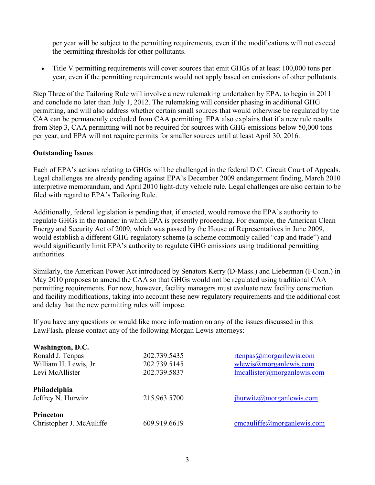per year will be subject to the permitting requirements, even if the modifications will not exceed the permitting thresholds for other pollutants.

 Title V permitting requirements will cover sources that emit GHGs of at least 100,000 tons per year, even if the permitting requirements would not apply based on emissions of other pollutants.

Step Three of the Tailoring Rule will involve a new rulemaking undertaken by EPA, to begin in 2011 and conclude no later than July 1, 2012. The rulemaking will consider phasing in additional GHG permitting, and will also address whether certain small sources that would otherwise be regulated by the CAA can be permanently excluded from CAA permitting. EPA also explains that if a new rule results from Step 3, CAA permitting will not be required for sources with GHG emissions below 50,000 tons per year, and EPA will not require permits for smaller sources until at least April 30, 2016.

#### **Outstanding Issues**

Each of EPA's actions relating to GHGs will be challenged in the federal D.C. Circuit Court of Appeals. Legal challenges are already pending against EPA's December 2009 endangerment finding, March 2010 interpretive memorandum, and April 2010 light-duty vehicle rule. Legal challenges are also certain to be filed with regard to EPA's Tailoring Rule.

Additionally, federal legislation is pending that, if enacted, would remove the EPA's authority to regulate GHGs in the manner in which EPA is presently proceeding. For example, the American Clean Energy and Security Act of 2009, which was passed by the House of Representatives in June 2009, would establish a different GHG regulatory scheme (a scheme commonly called "cap and trade") and would significantly limit EPA's authority to regulate GHG emissions using traditional permitting authorities.

Similarly, the American Power Act introduced by Senators Kerry (D-Mass.) and Lieberman (I-Conn.) in May 2010 proposes to amend the CAA so that GHGs would not be regulated using traditional CAA permitting requirements. For now, however, facility managers must evaluate new facility construction and facility modifications, taking into account these new regulatory requirements and the additional cost and delay that the new permitting rules will impose.

If you have any questions or would like more information on any of the issues discussed in this LawFlash, please contact any of the following Morgan Lewis attorneys:

| Washington, D.C.                   |              |                               |
|------------------------------------|--------------|-------------------------------|
| Ronald J. Tenpas                   | 202.739.5435 | rtenpas $@$ morganlewis.com   |
| William H. Lewis, Jr.              | 202.739.5145 | $w$ lewis@morganlewis.com     |
| Levi McAllister                    | 202.739.5837 | Imcallister@morganlewis.com   |
| Philadelphia<br>Jeffrey N. Hurwitz | 215.963.5700 | $j$ hurwitz@morganlewis.com   |
| Princeton                          |              |                               |
| Christopher J. McAuliffe           | 609.919.6619 | $c$ mcauliffe@morganlewis.com |